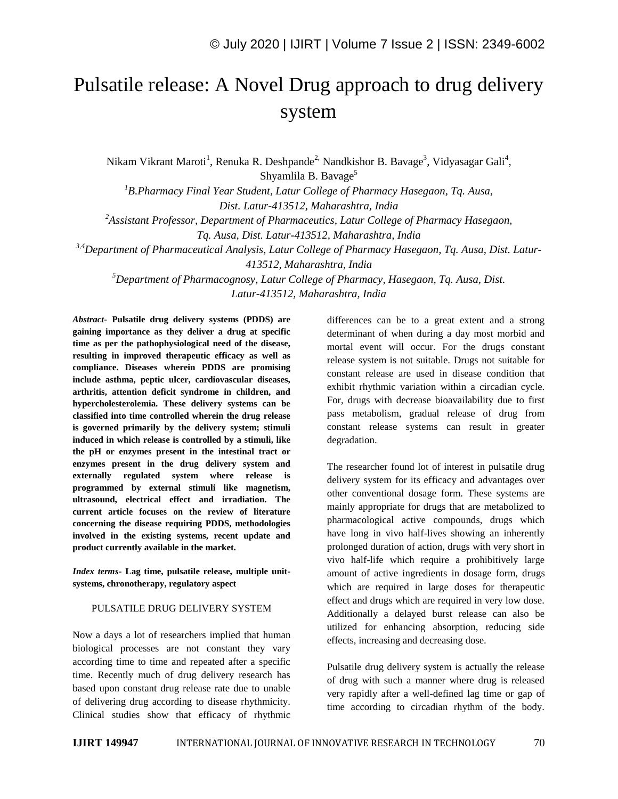## Pulsatile release: A Novel Drug approach to drug delivery system

Nikam Vikrant Maroti<sup>1</sup>, Renuka R. Deshpande<sup>2,</sup> Nandkishor B. Bavage<sup>3</sup>, Vidyasagar Gali<sup>4</sup>, Shyamlila B. Bavage<sup>5</sup>

*<sup>1</sup>B.Pharmacy Final Year Student, Latur College of Pharmacy Hasegaon, Tq. Ausa, Dist. Latur-413512, Maharashtra, India*

*<sup>2</sup>Assistant Professor, Department of Pharmaceutics, Latur College of Pharmacy Hasegaon,*

*Tq. Ausa, Dist. Latur-413512, Maharashtra, India*

*3,4Department of Pharmaceutical Analysis, Latur College of Pharmacy Hasegaon, Tq. Ausa, Dist. Latur-413512, Maharashtra, India*

*<sup>5</sup>Department of Pharmacognosy, Latur College of Pharmacy, Hasegaon, Tq. Ausa, Dist. Latur-413512, Maharashtra, India*

*Abstract*- **Pulsatile drug delivery systems (PDDS) are gaining importance as they deliver a drug at specific time as per the pathophysiological need of the disease, resulting in improved therapeutic efficacy as well as compliance. Diseases wherein PDDS are promising include asthma, peptic ulcer, cardiovascular diseases, arthritis, attention deficit syndrome in children, and hypercholesterolemia. These delivery systems can be classified into time controlled wherein the drug release is governed primarily by the delivery system; stimuli induced in which release is controlled by a stimuli, like the pH or enzymes present in the intestinal tract or enzymes present in the drug delivery system and externally regulated system where release is programmed by external stimuli like magnetism, ultrasound, electrical effect and irradiation. The current article focuses on the review of literature concerning the disease requiring PDDS, methodologies involved in the existing systems, recent update and product currently available in the market.**

*Index terms***- Lag time, pulsatile release, multiple unitsystems, chronotherapy, regulatory aspect**

## PULSATILE DRUG DELIVERY SYSTEM

Now a days a lot of researchers implied that human biological processes are not constant they vary according time to time and repeated after a specific time. Recently much of drug delivery research has based upon constant drug release rate due to unable of delivering drug according to disease rhythmicity. Clinical studies show that efficacy of rhythmic differences can be to a great extent and a strong determinant of when during a day most morbid and mortal event will occur. For the drugs constant release system is not suitable. Drugs not suitable for constant release are used in disease condition that exhibit rhythmic variation within a circadian cycle. For, drugs with decrease bioavailability due to first pass metabolism, gradual release of drug from constant release systems can result in greater degradation.

The researcher found lot of interest in pulsatile drug delivery system for its efficacy and advantages over other conventional dosage form. These systems are mainly appropriate for drugs that are metabolized to pharmacological active compounds, drugs which have long in vivo half-lives showing an inherently prolonged duration of action, drugs with very short in vivo half-life which require a prohibitively large amount of active ingredients in dosage form, drugs which are required in large doses for therapeutic effect and drugs which are required in very low dose. Additionally a delayed burst release can also be utilized for enhancing absorption, reducing side effects, increasing and decreasing dose.

Pulsatile drug delivery system is actually the release of drug with such a manner where drug is released very rapidly after a well-defined lag time or gap of time according to circadian rhythm of the body.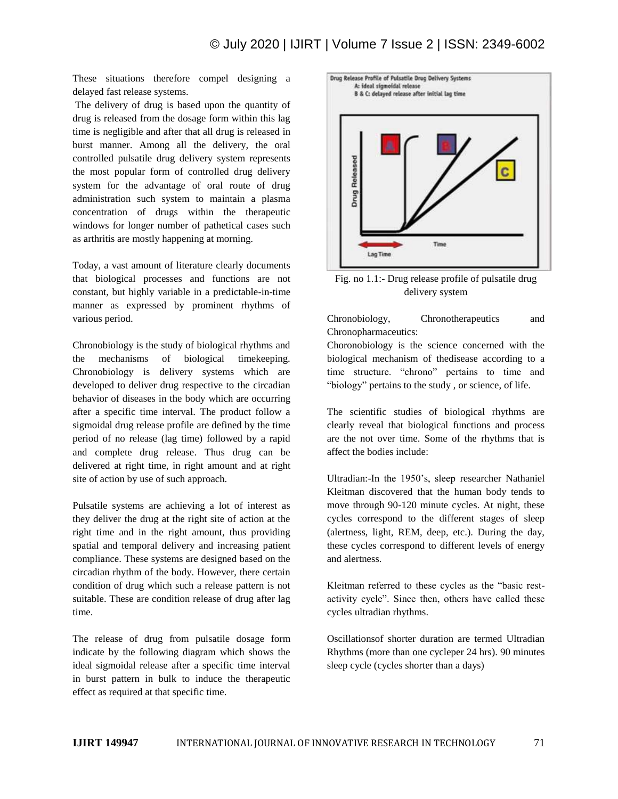These situations therefore compel designing a delayed fast release systems.

The delivery of drug is based upon the quantity of drug is released from the dosage form within this lag time is negligible and after that all drug is released in burst manner. Among all the delivery, the oral controlled pulsatile drug delivery system represents the most popular form of controlled drug delivery system for the advantage of oral route of drug administration such system to maintain a plasma concentration of drugs within the therapeutic windows for longer number of pathetical cases such as arthritis are mostly happening at morning.

Today, a vast amount of literature clearly documents that biological processes and functions are not constant, but highly variable in a predictable-in-time manner as expressed by prominent rhythms of various period.

Chronobiology is the study of biological rhythms and the mechanisms of biological timekeeping. Chronobiology is delivery systems which are developed to deliver drug respective to the circadian behavior of diseases in the body which are occurring after a specific time interval. The product follow a sigmoidal drug release profile are defined by the time period of no release (lag time) followed by a rapid and complete drug release. Thus drug can be delivered at right time, in right amount and at right site of action by use of such approach.

Pulsatile systems are achieving a lot of interest as they deliver the drug at the right site of action at the right time and in the right amount, thus providing spatial and temporal delivery and increasing patient compliance. These systems are designed based on the circadian rhythm of the body. However, there certain condition of drug which such a release pattern is not suitable. These are condition release of drug after lag time.

The release of drug from pulsatile dosage form indicate by the following diagram which shows the ideal sigmoidal release after a specific time interval in burst pattern in bulk to induce the therapeutic effect as required at that specific time.



Fig. no 1.1:- Drug release profile of pulsatile drug delivery system

Chronobiology, Chronotherapeutics and Chronopharmaceutics:

Choronobiology is the science concerned with the biological mechanism of thedisease according to a time structure. "chrono" pertains to time and "biology" pertains to the study , or science, of life.

The scientific studies of biological rhythms are clearly reveal that biological functions and process are the not over time. Some of the rhythms that is affect the bodies include:

Ultradian:-In the 1950's, sleep researcher Nathaniel Kleitman discovered that the human body tends to move through 90-120 minute cycles. At night, these cycles correspond to the different stages of sleep (alertness, light, REM, deep, etc.). During the day, these cycles correspond to different levels of energy and alertness.

Kleitman referred to these cycles as the "basic restactivity cycle". Since then, others have called these cycles ultradian rhythms.

Oscillationsof shorter duration are termed Ultradian Rhythms (more than one cycleper 24 hrs). 90 minutes sleep cycle (cycles shorter than a days)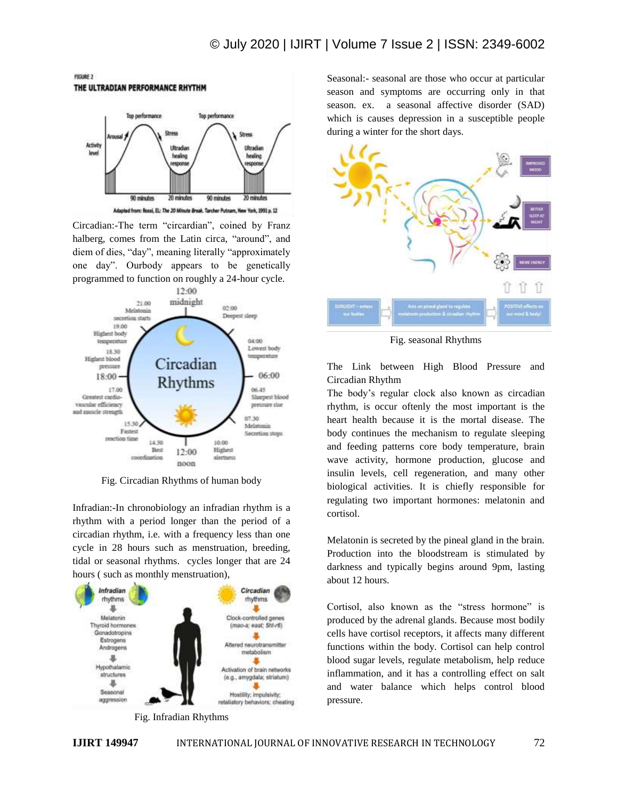

FIGURE 2

Circadian:-The term "circardian", coined by Franz halberg, comes from the Latin circa, "around", and diem of dies, "day", meaning literally "approximately one day". Ourbody appears to be genetically programmed to function on roughly a 24-hour cycle.



Fig. Circadian Rhythms of human body

Infradian:-In chronobiology an infradian rhythm is a rhythm with a period longer than the period of a circadian rhythm, i.e. with a frequency less than one cycle in 28 hours such as menstruation, breeding, tidal or seasonal rhythms. cycles longer that are 24 hours ( such as monthly menstruation),



Seasonal:- seasonal are those who occur at particular season and symptoms are occurring only in that season. ex. a seasonal affective disorder (SAD) which is causes depression in a susceptible people during a winter for the short days.



Fig. seasonal Rhythms

The Link between High Blood Pressure and Circadian Rhythm

The body's regular clock also known as circadian rhythm, is occur oftenly the most important is the heart health because it is the mortal disease. The body continues the mechanism to regulate sleeping and feeding patterns core body temperature, brain wave activity, hormone production, glucose and insulin levels, cell regeneration, and many other biological activities. It is chiefly responsible for regulating two important hormones: melatonin and cortisol.

Melatonin is secreted by the pineal gland in the brain. Production into the bloodstream is stimulated by darkness and typically begins around 9pm, lasting about 12 hours.

Cortisol, also known as the "stress hormone" is produced by the adrenal glands. Because most bodily cells have cortisol receptors, it affects many different functions within the body. Cortisol can help control blood sugar levels, regulate metabolism, help reduce inflammation, and it has a controlling effect on salt and water balance which helps control blood pressure.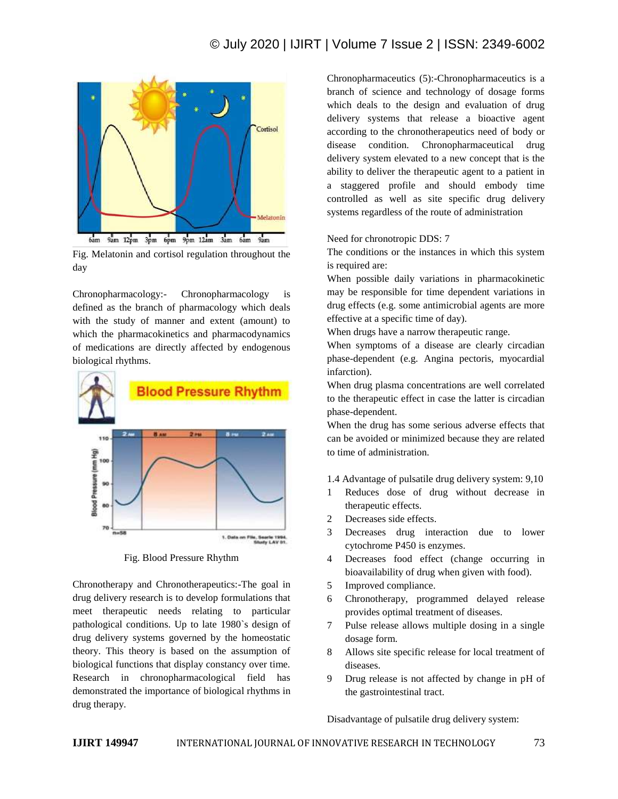

Fig. Melatonin and cortisol regulation throughout the day

Chronopharmacology:- Chronopharmacology is defined as the branch of pharmacology which deals with the study of manner and extent (amount) to which the pharmacokinetics and pharmacodynamics of medications are directly affected by endogenous biological rhythms.



Fig. Blood Pressure Rhythm

Chronotherapy and Chronotherapeutics:-The goal in drug delivery research is to develop formulations that meet therapeutic needs relating to particular pathological conditions. Up to late 1980`s design of drug delivery systems governed by the homeostatic theory. This theory is based on the assumption of biological functions that display constancy over time. Research in chronopharmacological field has demonstrated the importance of biological rhythms in drug therapy.

Chronopharmaceutics (5):-Chronopharmaceutics is a branch of science and technology of dosage forms which deals to the design and evaluation of drug delivery systems that release a bioactive agent according to the chronotherapeutics need of body or disease condition. Chronopharmaceutical drug delivery system elevated to a new concept that is the ability to deliver the therapeutic agent to a patient in a staggered profile and should embody time controlled as well as site specific drug delivery systems regardless of the route of administration

## Need for chronotropic DDS: 7

The conditions or the instances in which this system is required are:

When possible daily variations in pharmacokinetic may be responsible for time dependent variations in drug effects (e.g. some antimicrobial agents are more effective at a specific time of day).

When drugs have a narrow therapeutic range.

When symptoms of a disease are clearly circadian phase-dependent (e.g. Angina pectoris, myocardial infarction).

When drug plasma concentrations are well correlated to the therapeutic effect in case the latter is circadian phase-dependent.

When the drug has some serious adverse effects that can be avoided or minimized because they are related to time of administration.

- 1.4 Advantage of pulsatile drug delivery system: 9,10
- 1 Reduces dose of drug without decrease in therapeutic effects.
- 2 Decreases side effects.
- 3 Decreases drug interaction due to lower cytochrome P450 is enzymes.
- 4 Decreases food effect (change occurring in bioavailability of drug when given with food).
- 5 Improved compliance.
- 6 Chronotherapy, programmed delayed release provides optimal treatment of diseases.
- 7 Pulse release allows multiple dosing in a single dosage form.
- 8 Allows site specific release for local treatment of diseases.
- 9 Drug release is not affected by change in pH of the gastrointestinal tract.

Disadvantage of pulsatile drug delivery system: